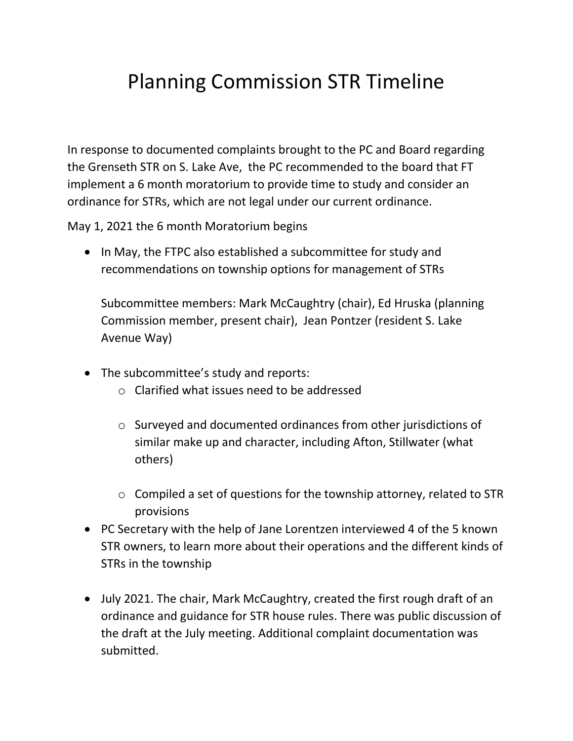## Planning Commission STR Timeline

In response to documented complaints brought to the PC and Board regarding the Grenseth STR on S. Lake Ave, the PC recommended to the board that FT implement a 6 month moratorium to provide time to study and consider an ordinance for STRs, which are not legal under our current ordinance.

May 1, 2021 the 6 month Moratorium begins

• In May, the FTPC also established a subcommittee for study and recommendations on township options for management of STRs

Subcommittee members: Mark McCaughtry (chair), Ed Hruska (planning Commission member, present chair), Jean Pontzer (resident S. Lake Avenue Way)

- The subcommittee's study and reports:
	- $\circ$  Clarified what issues need to be addressed
	- o Surveyed and documented ordinances from other jurisdictions of similar make up and character, including Afton, Stillwater (what others)
	- o Compiled a set of questions for the township attorney, related to STR provisions
- PC Secretary with the help of Jane Lorentzen interviewed 4 of the 5 known STR owners, to learn more about their operations and the different kinds of STRs in the township
- July 2021. The chair, Mark McCaughtry, created the first rough draft of an ordinance and guidance for STR house rules. There was public discussion of the draft at the July meeting. Additional complaint documentation was submitted.